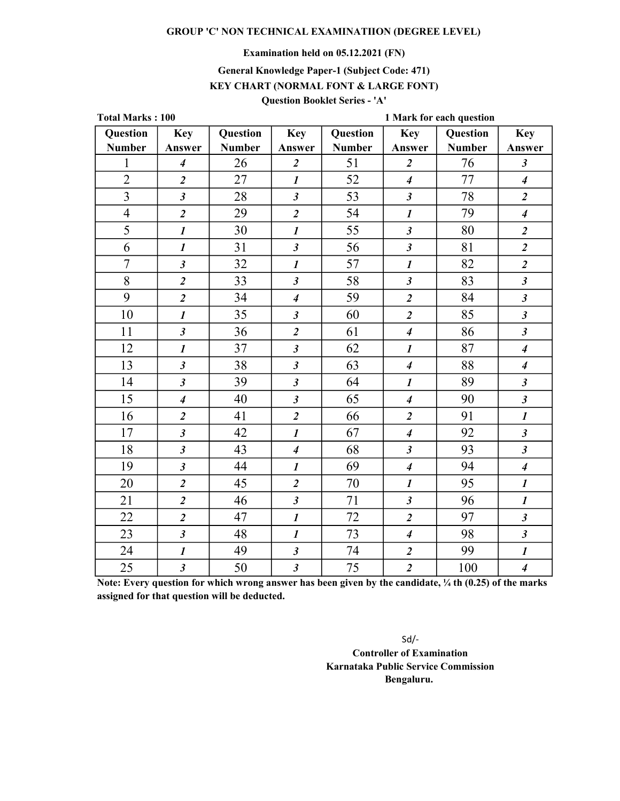### Examination held on 05.12.2021 (FN)

### General Knowledge Paper-1 (Subject Code: 471)

# KEY CHART (NORMAL FONT & LARGE FONT)

# Question Booklet Series - 'A'

| <b>Total Marks: 100</b> |                             |               |                             | 1 Mark for each question |                             |                 |                             |
|-------------------------|-----------------------------|---------------|-----------------------------|--------------------------|-----------------------------|-----------------|-----------------------------|
| Question                | <b>Key</b>                  | Question      | <b>Key</b>                  | Question                 | <b>Key</b>                  | <b>Question</b> | <b>Key</b>                  |
| <b>Number</b>           | Answer                      | <b>Number</b> | Answer                      | <b>Number</b>            | Answer                      | <b>Number</b>   | Answer                      |
| $\mathbf{1}$            | $\boldsymbol{4}$            | 26            | $\boldsymbol{2}$            | 51                       | $\overline{2}$              | 76              | $\boldsymbol{\beta}$        |
| $\overline{2}$          | $\overline{\mathbf{2}}$     | 27            | $\boldsymbol{l}$            | 52                       | $\overline{4}$              | 77              | $\overline{\boldsymbol{4}}$ |
| $\overline{3}$          | $\mathfrak{z}$              | 28            | $\mathfrak{z}$              | 53                       | $\mathfrak{z}$              | 78              | $\overline{2}$              |
| $\overline{4}$          | $\overline{2}$              | 29            | $\overline{2}$              | 54                       | $\boldsymbol{l}$            | 79              | $\overline{4}$              |
| 5                       | $\boldsymbol{l}$            | 30            | $\boldsymbol{l}$            | 55                       | $\mathfrak{z}$              | 80              | $\overline{\mathbf{c}}$     |
| 6                       | $\boldsymbol{l}$            | 31            | $\mathfrak{z}$              | 56                       | $\mathfrak{z}$              | 81              | $\overline{\mathbf{c}}$     |
| $\overline{7}$          | $\mathfrak{z}$              | 32            | $\boldsymbol{l}$            | 57                       | $\boldsymbol{l}$            | 82              | $\overline{\mathbf{c}}$     |
| $\overline{8}$          | $\overline{\mathbf{2}}$     | 33            | $\mathfrak{z}$              | 58                       | $\mathfrak{z}$              | 83              | $\mathfrak{z}$              |
| 9                       | $\overline{\mathbf{c}}$     | 34            | $\overline{4}$              | 59                       | $\overline{\mathbf{c}}$     | 84              | $\mathfrak{z}$              |
| 10                      | $\boldsymbol{l}$            | 35            | $\mathfrak{z}$              | 60                       | $\overline{2}$              | 85              | $\mathfrak{z}$              |
| 11                      | $\mathfrak{z}$              | 36            | $\overline{2}$              | 61                       | $\overline{\mathbf{4}}$     | 86              | $\mathfrak{z}$              |
| 12                      | $\boldsymbol{l}$            | 37            | $\overline{\mathbf{3}}$     | 62                       | $\boldsymbol{l}$            | 87              | $\boldsymbol{4}$            |
| 13                      | $\mathfrak{z}$              | 38            | $\mathfrak{z}$              | 63                       | $\overline{\boldsymbol{4}}$ | 88              | $\overline{\boldsymbol{4}}$ |
| 14                      | $\mathfrak{z}$              | 39            | $\mathfrak{z}$              | 64                       | $\boldsymbol{l}$            | 89              | $\mathfrak{z}$              |
| 15                      | $\boldsymbol{4}$            | 40            | $\overline{\mathbf{3}}$     | 65                       | $\overline{\boldsymbol{4}}$ | 90              | $\mathfrak{z}$              |
| 16                      | $\overline{\mathbf{2}}$     | 41            | $\overline{2}$              | 66                       | $\overline{2}$              | 91              | $\boldsymbol{l}$            |
| 17                      | $\boldsymbol{\mathfrak{z}}$ | 42            | $\boldsymbol{l}$            | 67                       | $\overline{\boldsymbol{4}}$ | 92              | $\boldsymbol{\beta}$        |
| 18                      | $\boldsymbol{\mathfrak{z}}$ | 43            | $\overline{\boldsymbol{4}}$ | 68                       | $\mathfrak{z}$              | 93              | $\mathfrak{z}$              |
| 19                      | $\mathfrak{z}$              | 44            | $\boldsymbol{l}$            | 69                       | $\overline{\mathbf{4}}$     | 94              | $\overline{\boldsymbol{4}}$ |
| 20                      | $\overline{\mathbf{c}}$     | 45            | $\overline{\mathbf{c}}$     | 70                       | $\boldsymbol{l}$            | 95              | $\boldsymbol{l}$            |
| 21                      | $\overline{\mathbf{c}}$     | 46            | $\overline{\mathbf{3}}$     | 71                       | $\mathfrak{z}$              | 96              | $\boldsymbol{l}$            |
| 22                      | $\overline{\mathbf{2}}$     | 47            | $\boldsymbol{l}$            | 72                       | $\overline{2}$              | 97              | $\mathfrak{z}$              |
| 23                      | $\boldsymbol{\mathfrak{z}}$ | 48            | $\boldsymbol{l}$            | 73                       | $\overline{\boldsymbol{4}}$ | 98              | $\mathfrak{z}$              |
| 24                      | $\boldsymbol{l}$            | 49            | $\boldsymbol{\beta}$        | 74                       | $\overline{2}$              | 99              | $\boldsymbol{l}$            |
| 25                      | $\mathfrak{z}$              | 50            | $\boldsymbol{\mathfrak{z}}$ | 75                       | $\overline{2}$              | 100             | $\overline{4}$              |

Note: Every question for which wrong answer has been given by the candidate,  $\frac{1}{4}$  th (0.25) of the marks assigned for that question will be deducted.

> Sd/- Karnataka Public Service Commission Bengaluru. Controller of Examination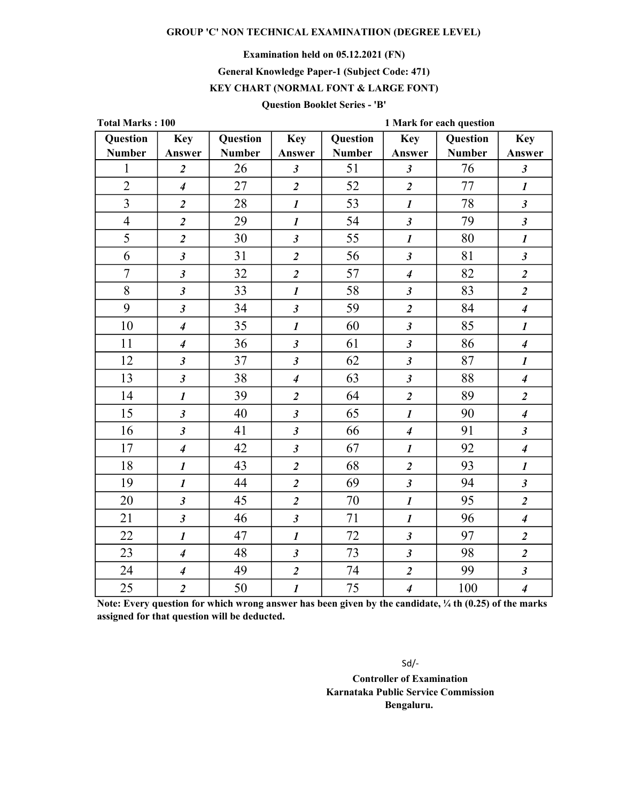### Examination held on 05.12.2021 (FN)

### General Knowledge Paper-1 (Subject Code: 471)

### KEY CHART (NORMAL FONT & LARGE FONT)

### Question Booklet Series - 'B'

| <b>Total Marks: 100</b> |                             |               |                             | 1 Mark for each question |                             |               |                             |  |
|-------------------------|-----------------------------|---------------|-----------------------------|--------------------------|-----------------------------|---------------|-----------------------------|--|
| Question                | <b>Key</b>                  | Question      | <b>Key</b>                  | Question                 | <b>Key</b>                  | Question      | <b>Key</b>                  |  |
| <b>Number</b>           | Answer                      | <b>Number</b> | Answer                      | <b>Number</b>            | Answer                      | <b>Number</b> | Answer                      |  |
| $\mathbf{1}$            | $\boldsymbol{2}$            | 26            | $\boldsymbol{\beta}$        | 51                       | $\boldsymbol{\beta}$        | 76            | $\boldsymbol{\beta}$        |  |
| $\overline{2}$          | $\overline{\boldsymbol{4}}$ | 27            | $\overline{\mathbf{c}}$     | 52                       | $\overline{2}$              | 77            | $\boldsymbol{l}$            |  |
| $\overline{3}$          | $\overline{2}$              | 28            | $\boldsymbol{l}$            | 53                       | $\boldsymbol{l}$            | 78            | $\mathfrak{z}$              |  |
| $\overline{4}$          | $\overline{\mathbf{2}}$     | 29            | $\boldsymbol{l}$            | 54                       | $\mathfrak{z}$              | 79            | $\boldsymbol{\mathfrak{z}}$ |  |
| 5                       | $\overline{\mathbf{c}}$     | 30            | $\overline{\mathbf{3}}$     | 55                       | $\boldsymbol{l}$            | 80            | $\boldsymbol{l}$            |  |
| 6                       | $\mathfrak{z}$              | 31            | $\overline{\mathbf{c}}$     | 56                       | $\mathfrak{z}$              | 81            | $\boldsymbol{\beta}$        |  |
| $\overline{7}$          | $\mathfrak{z}$              | 32            | $\overline{2}$              | 57                       | $\overline{\boldsymbol{4}}$ | 82            | $\overline{2}$              |  |
| 8                       | $\mathfrak{z}$              | 33            | $\boldsymbol{l}$            | 58                       | $\mathfrak{z}$              | 83            | $\overline{2}$              |  |
| 9                       | $\mathfrak{z}$              | 34            | $\mathfrak{z}$              | 59                       | $\overline{2}$              | 84            | $\overline{\boldsymbol{4}}$ |  |
| 10                      | $\overline{\boldsymbol{4}}$ | 35            | $\boldsymbol{l}$            | 60                       | $\mathfrak{z}$              | 85            | $\boldsymbol{l}$            |  |
| 11                      | $\overline{4}$              | 36            | $\boldsymbol{\mathfrak{z}}$ | 61                       | $\mathfrak{z}$              | 86            | $\boldsymbol{4}$            |  |
| 12                      | $\mathfrak{z}$              | 37            | $\mathfrak{z}$              | 62                       | $\mathfrak{z}$              | 87            | $\boldsymbol{l}$            |  |
| 13                      | $\mathfrak{z}$              | 38            | $\overline{\mathbf{4}}$     | 63                       | $\mathfrak{z}$              | 88            | $\overline{\boldsymbol{4}}$ |  |
| 14                      | $\boldsymbol{l}$            | 39            | $\overline{2}$              | 64                       | $\overline{2}$              | 89            | $\overline{2}$              |  |
| 15                      | $\mathfrak{z}$              | 40            | $\mathfrak{z}$              | 65                       | $\boldsymbol{l}$            | 90            | $\boldsymbol{4}$            |  |
| 16                      | $\boldsymbol{\beta}$        | 41            | $\mathfrak{z}$              | 66                       | $\overline{4}$              | 91            | $\boldsymbol{\beta}$        |  |
| 17                      | $\boldsymbol{4}$            | 42            | $\overline{\mathbf{3}}$     | 67                       | $\boldsymbol{l}$            | 92            | $\boldsymbol{4}$            |  |
| 18                      | $\boldsymbol{l}$            | 43            | $\overline{2}$              | 68                       | $\overline{2}$              | 93            | $\boldsymbol{l}$            |  |
| 19                      | $\boldsymbol{l}$            | 44            | $\overline{2}$              | 69                       | $\mathfrak{z}$              | 94            | $\boldsymbol{\beta}$        |  |
| 20                      | $\mathfrak{z}$              | 45            | $\overline{2}$              | 70                       | $\boldsymbol{l}$            | 95            | $\overline{\mathbf{c}}$     |  |
| 21                      | $\mathfrak{z}$              | 46            | $\boldsymbol{\mathfrak{z}}$ | 71                       | $\boldsymbol{l}$            | 96            | $\boldsymbol{4}$            |  |
| 22                      | $\boldsymbol{l}$            | 47            | $\boldsymbol{l}$            | 72                       | $\mathfrak{z}$              | 97            | $\overline{2}$              |  |
| 23                      | $\boldsymbol{4}$            | 48            | $\mathfrak{z}$              | 73                       | $\mathfrak{z}$              | 98            | $\overline{2}$              |  |
| 24                      | $\boldsymbol{4}$            | 49            | $\overline{\mathbf{c}}$     | 74                       | $\overline{\mathbf{c}}$     | 99            | $\mathfrak{z}$              |  |
| 25                      | $\overline{2}$              | 50            | $\boldsymbol{l}$            | 75                       | $\overline{4}$              | 100           | $\overline{\boldsymbol{4}}$ |  |

Note: Every question for which wrong answer has been given by the candidate, ¼ th (0.25) of the marks assigned for that question will be deducted.

> Sd/- Karnataka Public Service Commission Bengaluru. Controller of Examination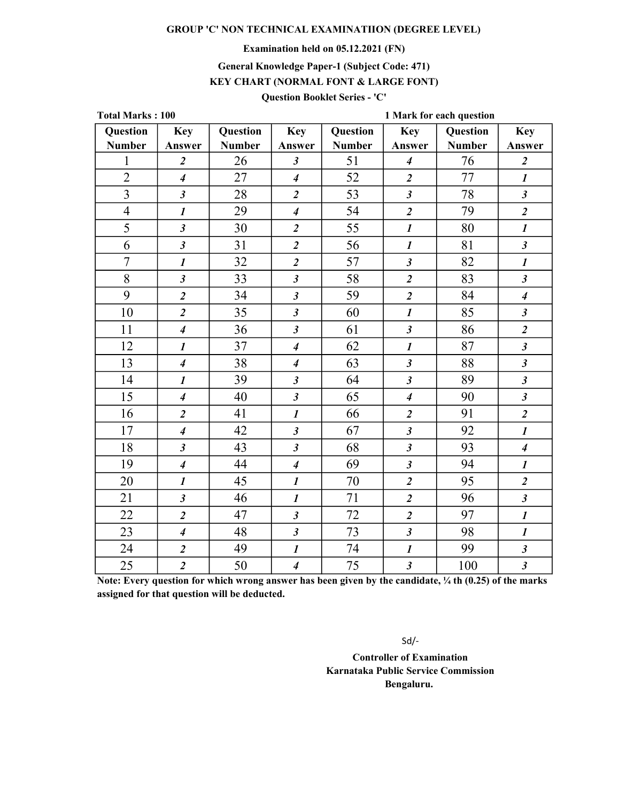### Examination held on 05.12.2021 (FN)

### General Knowledge Paper-1 (Subject Code: 471)

# KEY CHART (NORMAL FONT & LARGE FONT)

# Question Booklet Series - 'C'

| <b>Total Marks: 100</b> |                             |               |                             | 1 Mark for each question |                             |               |                         |  |
|-------------------------|-----------------------------|---------------|-----------------------------|--------------------------|-----------------------------|---------------|-------------------------|--|
| Question                | <b>Key</b>                  | Question      | <b>Key</b>                  | Question                 | <b>Key</b>                  | Question      | <b>Key</b>              |  |
| <b>Number</b>           | Answer                      | <b>Number</b> | Answer                      | <b>Number</b>            | Answer                      | <b>Number</b> | Answer                  |  |
| $\mathbf{1}$            | $\overline{2}$              | 26            | $\mathfrak{z}$              | 51                       | $\overline{\boldsymbol{4}}$ | 76            | $\overline{2}$          |  |
| $\overline{2}$          | $\overline{4}$              | 27            | $\overline{4}$              | 52                       | $\overline{2}$              | 77            | $\boldsymbol{l}$        |  |
| $\overline{3}$          | $\mathfrak{z}$              | 28            | $\overline{2}$              | 53                       | $\mathfrak{z}$              | 78            | $\mathfrak{z}$          |  |
| $\overline{4}$          | $\boldsymbol{l}$            | 29            | $\overline{4}$              | 54                       | $\overline{2}$              | 79            | $\overline{2}$          |  |
| $\overline{5}$          | $\mathfrak{z}$              | 30            | $\overline{2}$              | 55                       | $\boldsymbol{l}$            | 80            | $\boldsymbol{l}$        |  |
| 6                       | $\boldsymbol{\mathfrak{z}}$ | 31            | $\overline{2}$              | 56                       | $\boldsymbol{l}$            | 81            | $\mathfrak{z}$          |  |
| $\overline{7}$          | $\boldsymbol{l}$            | 32            | $\overline{2}$              | 57                       | $\mathfrak{z}$              | 82            | $\boldsymbol{l}$        |  |
| 8                       | $\mathfrak{z}$              | 33            | $\mathfrak{z}$              | 58                       | $\overline{2}$              | 83            | $\boldsymbol{\beta}$    |  |
| 9                       | $\overline{\mathbf{c}}$     | 34            | $\mathfrak{z}$              | 59                       | $\overline{2}$              | 84            | $\boldsymbol{4}$        |  |
| 10                      | $\overline{\mathbf{c}}$     | 35            | $\mathfrak{z}$              | 60                       | $\boldsymbol{l}$            | 85            | $\boldsymbol{\beta}$    |  |
| 11                      | $\boldsymbol{4}$            | 36            | $\mathfrak{z}$              | 61                       | $\mathfrak{z}$              | 86            | $\overline{\mathbf{c}}$ |  |
| 12                      | $\boldsymbol{l}$            | 37            | $\overline{\boldsymbol{4}}$ | 62                       | $\boldsymbol{l}$            | 87            | $\mathfrak{z}$          |  |
| 13                      | $\overline{\boldsymbol{4}}$ | 38            | $\overline{4}$              | 63                       | $\mathfrak{z}$              | 88            | $\mathfrak{z}$          |  |
| 14                      | $\boldsymbol{l}$            | 39            | $\mathfrak{z}$              | 64                       | $\mathfrak{z}$              | 89            | $\mathfrak{z}$          |  |
| 15                      | $\overline{\boldsymbol{4}}$ | 40            | $\mathfrak{z}$              | 65                       | $\overline{4}$              | 90            | $\overline{\mathbf{3}}$ |  |
| 16                      | $\overline{2}$              | 41            | $\boldsymbol{l}$            | 66                       | $\overline{2}$              | 91            | $\overline{\mathbf{c}}$ |  |
| 17                      | $\overline{\boldsymbol{4}}$ | 42            | $\mathfrak{z}$              | 67                       | $\mathfrak{z}$              | 92            | $\boldsymbol{l}$        |  |
| 18                      | $\boldsymbol{\mathfrak{z}}$ | 43            | $\mathfrak{z}$              | 68                       | $\mathfrak{z}$              | 93            | $\boldsymbol{4}$        |  |
| 19                      | $\boldsymbol{4}$            | 44            | $\overline{\boldsymbol{4}}$ | 69                       | $\mathfrak{z}$              | 94            | $\boldsymbol{l}$        |  |
| 20                      | $\boldsymbol{l}$            | 45            | $\boldsymbol{l}$            | 70                       | $\overline{2}$              | 95            | $\overline{\mathbf{c}}$ |  |
| 21                      | $\boldsymbol{\mathfrak{z}}$ | 46            | $\boldsymbol{l}$            | 71                       | $\overline{2}$              | 96            | $\mathfrak{z}$          |  |
| 22                      | $\overline{\mathbf{c}}$     | 47            | $\mathfrak{z}$              | 72                       | $\overline{2}$              | 97            | $\boldsymbol{l}$        |  |
| 23                      | $\boldsymbol{4}$            | 48            | $\mathfrak{z}$              | 73                       | $\mathfrak{z}$              | 98            | $\boldsymbol{l}$        |  |
| 24                      | $\overline{\mathbf{2}}$     | 49            | $\boldsymbol{l}$            | 74                       | $\boldsymbol{l}$            | 99            | $\boldsymbol{\beta}$    |  |
| 25                      | $\overline{2}$              | 50            | $\overline{4}$              | 75                       | $\overline{\mathbf{3}}$     | 100           | $\mathfrak{z}$          |  |

Note: Every question for which wrong answer has been given by the candidate, ¼ th (0.25) of the marks assigned for that question will be deducted.

Sd/-

Karnataka Public Service Commission Bengaluru. Controller of Examination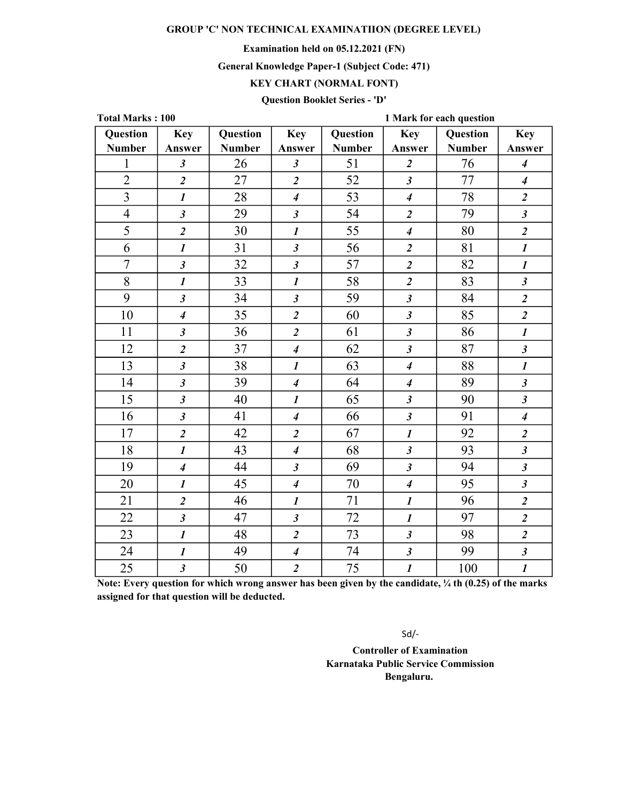### Examination held on 05.12.2021 (FN)

### General Knowledge Paper-1 (Subject Code: 471)

# KEY CHART (NORMAL FONT)

# Question Booklet Series - 'D'

| <b>Total Marks: 100</b> |                             |               |                             | 1 Mark for each question |                             |               |                             |  |
|-------------------------|-----------------------------|---------------|-----------------------------|--------------------------|-----------------------------|---------------|-----------------------------|--|
| Question                | <b>Key</b>                  | Question      | <b>Key</b>                  | Question                 | <b>Key</b>                  | Question      | <b>Key</b>                  |  |
| <b>Number</b>           | Answer                      | <b>Number</b> | Answer                      | <b>Number</b>            | Answer                      | <b>Number</b> | Answer                      |  |
| $\mathbf{1}$            | $\mathfrak{z}$              | 26            | $\mathfrak{z}$              | 51                       | $\overline{2}$              | 76            | $\overline{\boldsymbol{4}}$ |  |
| $\overline{2}$          | $\overline{\mathbf{c}}$     | 27            | $\overline{\mathbf{c}}$     | 52                       | $\overline{\mathbf{3}}$     | 77            | $\overline{\boldsymbol{4}}$ |  |
| $\overline{3}$          | $\boldsymbol{l}$            | 28            | $\overline{\mathbf{4}}$     | 53                       | $\overline{\boldsymbol{4}}$ | 78            | $\overline{\mathbf{c}}$     |  |
| $\overline{4}$          | $\mathfrak{z}$              | 29            | $\overline{\mathbf{3}}$     | 54                       | $\overline{2}$              | 79            | $\mathfrak{z}$              |  |
| 5                       | $\overline{\mathbf{2}}$     | 30            | $\boldsymbol{l}$            | 55                       | $\overline{\boldsymbol{4}}$ | 80            | $\overline{\mathbf{c}}$     |  |
| 6                       | $\boldsymbol{l}$            | 31            | $\mathfrak{z}$              | 56                       | $\overline{2}$              | 81            | $\boldsymbol{l}$            |  |
| $\overline{7}$          | $\mathfrak{z}$              | 32            | $\overline{\mathbf{3}}$     | 57                       | $\overline{2}$              | 82            | $\boldsymbol{l}$            |  |
| 8                       | $\boldsymbol{l}$            | 33            | $\boldsymbol{l}$            | 58                       | $\overline{2}$              | 83            | $\mathfrak{z}$              |  |
| 9                       | $\boldsymbol{\mathfrak{z}}$ | 34            | $\mathfrak{z}$              | 59                       | $\overline{\mathbf{3}}$     | 84            | $\overline{\mathbf{c}}$     |  |
| 10                      | $\boldsymbol{4}$            | 35            | $\overline{\mathbf{c}}$     | 60                       | $\mathfrak{z}$              | 85            | $\overline{\mathbf{c}}$     |  |
| 11                      | $\mathfrak{z}$              | 36            | $\overline{2}$              | 61                       | $\overline{\mathbf{3}}$     | 86            | $\boldsymbol{l}$            |  |
| 12                      | $\overline{\mathbf{2}}$     | 37            | $\overline{\mathbf{4}}$     | 62                       | $\mathfrak{z}$              | 87            | $\boldsymbol{\beta}$        |  |
| 13                      | $\boldsymbol{\mathfrak{z}}$ | 38            | $\boldsymbol{l}$            | 63                       | $\overline{4}$              | 88            | $\boldsymbol{l}$            |  |
| 14                      | $\boldsymbol{\mathfrak{z}}$ | 39            | $\overline{\boldsymbol{4}}$ | 64                       | $\overline{\boldsymbol{4}}$ | 89            | $\boldsymbol{\beta}$        |  |
| 15                      | $\mathfrak{z}$              | 40            | $\boldsymbol{l}$            | 65                       | $\mathfrak{z}$              | 90            | $\mathfrak{z}$              |  |
| 16                      | $\boldsymbol{\mathfrak{z}}$ | 41            | $\overline{\mathbf{4}}$     | 66                       | $\mathfrak{z}$              | 91            | $\boldsymbol{4}$            |  |
| 17                      | $\overline{\mathbf{c}}$     | 42            | $\overline{\mathbf{c}}$     | 67                       | $\boldsymbol{l}$            | 92            | $\overline{\mathbf{c}}$     |  |
| 18                      | $\boldsymbol{l}$            | 43            | $\overline{\mathbf{4}}$     | 68                       | $\mathfrak{z}$              | 93            | $\mathfrak{z}$              |  |
| 19                      | $\overline{\boldsymbol{4}}$ | 44            | $\mathfrak{z}$              | 69                       | $\mathfrak{z}$              | 94            | $\mathfrak{z}$              |  |
| 20                      | $\boldsymbol{l}$            | 45            | $\overline{\mathbf{4}}$     | 70                       | $\overline{\boldsymbol{4}}$ | 95            | $\boldsymbol{\mathfrak{z}}$ |  |
| 21                      | $\overline{2}$              | 46            | $\boldsymbol{l}$            | 71                       | $\boldsymbol{l}$            | 96            | $\overline{2}$              |  |
| 22                      | $\mathfrak{z}$              | 47            | $\mathfrak{z}$              | 72                       | $\boldsymbol{l}$            | 97            | $\overline{2}$              |  |
| 23                      | $\boldsymbol{l}$            | 48            | $\overline{2}$              | 73                       | $\mathfrak{z}$              | 98            | $\overline{\mathbf{c}}$     |  |
| 24                      | $\boldsymbol{l}$            | 49            | $\overline{\mathbf{4}}$     | 74                       | $\boldsymbol{\mathfrak{z}}$ | 99            | $\mathfrak{z}$              |  |
| 25                      | $\overline{\mathbf{3}}$     | 50            | $\overline{2}$              | 75                       | $\boldsymbol{l}$            | 100           | $\boldsymbol{l}$            |  |

Note: Every question for which wrong answer has been given by the candidate,  $\frac{1}{4}$  th (0.25) of the marks assigned for that question will be deducted.

Sd/-

Karnataka Public Service Commission Bengaluru. Controller of Examination